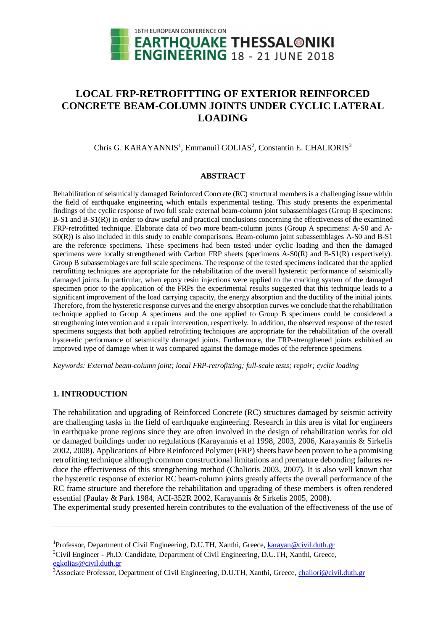

# **LOCAL FRP-RETROFITTING OF EXTERIOR REINFORCED CONCRETE BEAM-COLUMN JOINTS UNDER CYCLIC LATERAL LOADING**

### Chris G. KARAYANNIS<sup>1</sup>, Emmanuil GOLIAS<sup>2</sup>, Constantin E. CHALIORIS<sup>3</sup>

#### **ABSTRACT**

Rehabilitation of seismically damaged Reinforced Concrete (RC) structural members is a challenging issue within the field of earthquake engineering which entails experimental testing. This study presents the experimental findings of the cyclic response of two full scale external beam-column joint subassemblages (Group B specimens: B-S1 and B-S1(R)) in order to draw useful and practical conclusions concerning the effectiveness of the examined FRP-retrofitted technique. Elaborate data of two more beam-column joints (Group A specimens: A-S0 and A-S0(R)) is also included in this study to enable comparisons. Beam-column joint subassemblages A-S0 and B-S1 are the reference specimens. These specimens had been tested under cyclic loading and then the damaged specimens were locally strengthened with Carbon FRP sheets (specimens A-S0(R) and B-S1(R) respectively). Group B subassemblages are full scale specimens. The response of the tested specimens indicated that the applied retrofitting techniques are appropriate for the rehabilitation of the overall hysteretic performance of seismically damaged joints. In particular, when epoxy resin injections were applied to the cracking system of the damaged specimen prior to the application of the FRPs the experimental results suggested that this technique leads to a significant improvement of the load carrying capacity, the energy absorption and the ductility of the initial joints. Therefore, from the hysteretic response curves and the energy absorption curves we conclude that the rehabilitation technique applied to Group A specimens and the one applied to Group B specimens could be considered a strengthening intervention and a repair intervention, respectively. In addition, the observed response of the tested specimens suggests that both applied retrofitting techniques are appropriate for the rehabilitation of the overall hysteretic performance of seismically damaged joints. Furthermore, the FRP-strengthened joints exhibited an improved type of damage when it was compared against the damage modes of the reference specimens.

*Keywords: External beam-column joint; local FRP-retrofitting; full-scale tests; repair; cyclic loading* 

### **1. INTRODUCTION**

l

The rehabilitation and upgrading of Reinforced Concrete (RC) structures damaged by seismic activity are challenging tasks in the field of earthquake engineering. Research in this area is vital for engineers in earthquake prone regions since they are often involved in the design of rehabilitation works for old or damaged buildings under no regulations (Karayannis et al 1998, 2003, 2006, Karayannis & Sirkelis 2002, 2008). Applications of Fibre Reinforced Polymer (FRP) sheets have been proven to be a promising retrofitting technique although common constructional limitations and premature debonding failures reduce the effectiveness of this strengthening method (Chalioris 2003, 2007). It is also well known that the hysteretic response of exterior RC beam-column joints greatly affects the overall performance of the RC frame structure and therefore the rehabilitation and upgrading of these members is often rendered essential (Paulay & Park 1984, ACI-352R 2002, Karayannis & Sirkelis 2005, 2008).

The experimental study presented herein contributes to the evaluation of the effectiveness of the use of

<sup>2</sup>Civil Engineer - Ph.D. Candidate, Department of Civil Engineering, D.U.TH, Xanthi, Greece, egkolias@civil.duth.gr

<sup>&</sup>lt;sup>1</sup>Professor, Department of Civil Engineering, D.U.TH, Xanthi, Greece, karayan@civil.duth.gr

<sup>&</sup>lt;sup>3</sup>Associate Professor, Department of Civil Engineering, D.U.TH, Xanthi, Greece, chaliori@civil.duth.gr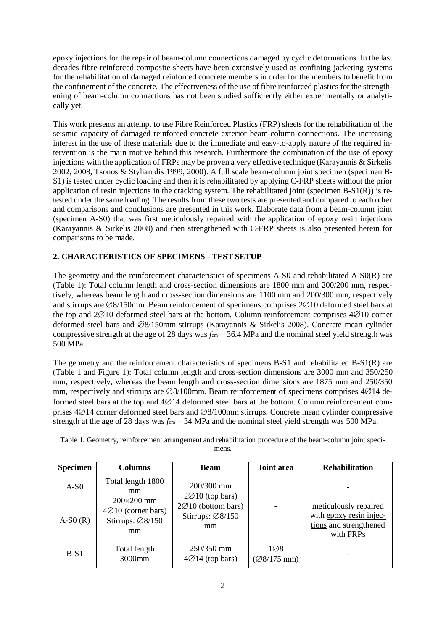epoxy injections for the repair of beam-column connections damaged by cyclic deformations. In the last decades fibre-reinforced composite sheets have been extensively used as confining jacketing systems for the rehabilitation of damaged reinforced concrete members in order for the members to benefit from the confinement of the concrete. The effectiveness of the use of fibre reinforced plastics for the strengthening of beam-column connections has not been studied sufficiently either experimentally or analytically yet.

This work presents an attempt to use Fibre Reinforced Plastics (FRP) sheets for the rehabilitation of the seismic capacity of damaged reinforced concrete exterior beam-column connections. The increasing interest in the use of these materials due to the immediate and easy-to-apply nature of the required intervention is the main motive behind this research. Furthermore the combination of the use of epoxy injections with the application of FRPs may be proven a very effective technique (Karayannis & Sirkelis 2002, 2008, Tsonos & Stylianidis 1999, 2000). A full scale beam-column joint specimen (specimen B-S1) is tested under cyclic loading and then it is rehabilitated by applying C-FRP sheets without the prior application of resin injections in the cracking system. The rehabilitated joint (specimen B-S1(R)) is retested under the same loading. The results from these two tests are presented and compared to each other and comparisons and conclusions are presented in this work. Elaborate data from a beam-column joint (specimen A-S0) that was first meticulously repaired with the application of epoxy resin injections (Karayannis & Sirkelis 2008) and then strengthened with C-FRP sheets is also presented herein for comparisons to be made.

## **2. CHARACTERISTICS OF SPECIMENS - TEST SETUP**

The geometry and the reinforcement characteristics of specimens A-S0 and rehabilitated A-S0(R) are (Table 1): Total column length and cross-section dimensions are 1800 mm and 200/200 mm, respectively, whereas beam length and cross-section dimensions are 1100 mm and 200/300 mm, respectively and stirrups are  $\emptyset\frac{8}{150}$ mm. Beam reinforcement of specimens comprises  $2\emptyset\frac{10}{10}$  deformed steel bars at the top and  $2\emptyset10$  deformed steel bars at the bottom. Column reinforcement comprises  $4\emptyset10$  corner deformed steel bars and  $\emptyset$ 8/150mm stirrups (Karayannis & Sirkelis 2008). Concrete mean cylinder compressive strength at the age of 28 days was  $f_{cm} = 36.4$  MPa and the nominal steel yield strength was 500 MPa.

The geometry and the reinforcement characteristics of specimens B-S1 and rehabilitated B-S1(R) are (Table 1 and Figure 1): Total column length and cross-section dimensions are 3000 mm and 350/250 mm, respectively, whereas the beam length and cross-section dimensions are 1875 mm and 250/350 mm, respectively and stirrups are  $\emptyset$ 8/100mm. Beam reinforcement of specimens comprises 4 $\emptyset$ 14 deformed steel bars at the top and  $4\varnothing 14$  deformed steel bars at the bottom. Column reinforcement comprises  $4\varnothing$ 14 corner deformed steel bars and  $\varnothing$ 8/100mm stirrups. Concrete mean cylinder compressive strength at the age of 28 days was  $f_{cm} = 34$  MPa and the nominal steel yield strength was 500 MPa.

| <b>Specimen</b> | <b>Columns</b>                                                                                                         | <b>Beam</b>                                                                                               | Joint area                                 | <b>Rehabilitation</b>                                                                   |
|-----------------|------------------------------------------------------------------------------------------------------------------------|-----------------------------------------------------------------------------------------------------------|--------------------------------------------|-----------------------------------------------------------------------------------------|
| $A-S0$          | Total length 1800<br>mm<br>$200\times200$ mm<br>$4\varnothing$ 10 (corner bars)<br>Stirrups: $\varnothing$ 8/150<br>mm | $200/300$ mm<br>$2\varnothing$ 10 (top bars)<br>2Ø10 (bottom bars)<br>Stirrups: $\varnothing$ 8/150<br>mm |                                            |                                                                                         |
| $A-S0(R)$       |                                                                                                                        |                                                                                                           |                                            | meticulously repaired<br>with epoxy resin injec-<br>tions and strengthened<br>with FRPs |
| $B-S1$          | Total length<br>3000mm                                                                                                 | $250/350$ mm<br>$4\varnothing$ 14 (top bars)                                                              | $1\varnothing 8$<br>$(\emptyset\$ /175 mm) |                                                                                         |

Table 1. Geometry, reinforcement arrangement and rehabilitation procedure of the beam-column joint specimens.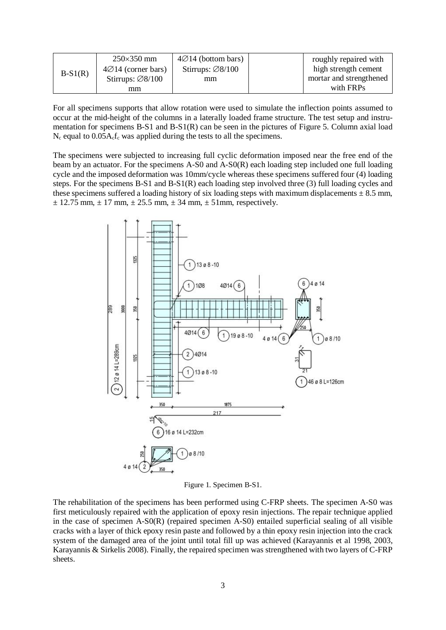| $B-S1(R)$ | $250\times350$ mm               | $4\varnothing$ 14 (bottom bars) | roughly repaired with   |
|-----------|---------------------------------|---------------------------------|-------------------------|
|           | $4\varnothing$ 14 (corner bars) | Stirrups: $\varnothing 8/100$   | high strength cement    |
|           | Stirrups: $\varnothing 8/100$   | mm                              | mortar and strengthened |
|           | mm                              |                                 | with FRPs               |

For all specimens supports that allow rotation were used to simulate the inflection points assumed to occur at the mid-height of the columns in a laterally loaded frame structure. The test setup and instrumentation for specimens B-S1 and B-S1(R) can be seen in the pictures of Figure 5. Column axial load  $N_c$  equal to  $0.05A_c f_c$  was applied during the tests to all the specimens.

The specimens were subjected to increasing full cyclic deformation imposed near the free end of the beam by an actuator. For the specimens A-S0 and A-S0(R) each loading step included one full loading cycle and the imposed deformation was 10mm/cycle whereas these specimens suffered four (4) loading steps. For the specimens B-S1 and B-S1(R) each loading step involved three (3) full loading cycles and these specimens suffered a loading history of six loading steps with maximum displacements  $\pm$  8.5 mm,  $\pm$  12.75 mm,  $\pm$  17 mm,  $\pm$  25.5 mm,  $\pm$  34 mm,  $\pm$  51mm, respectively.



Figure 1. Specimen B-S1.

The rehabilitation of the specimens has been performed using C-FRP sheets. The specimen A-S0 was first meticulously repaired with the application of epoxy resin injections. The repair technique applied in the case of specimen A-S0(R) (repaired specimen A-S0) entailed superficial sealing of all visible cracks with a layer of thick epoxy resin paste and followed by a thin epoxy resin injection into the crack system of the damaged area of the joint until total fill up was achieved (Karayannis et al 1998, 2003, Karayannis & Sirkelis 2008). Finally, the repaired specimen was strengthened with two layers of C-FRP sheets.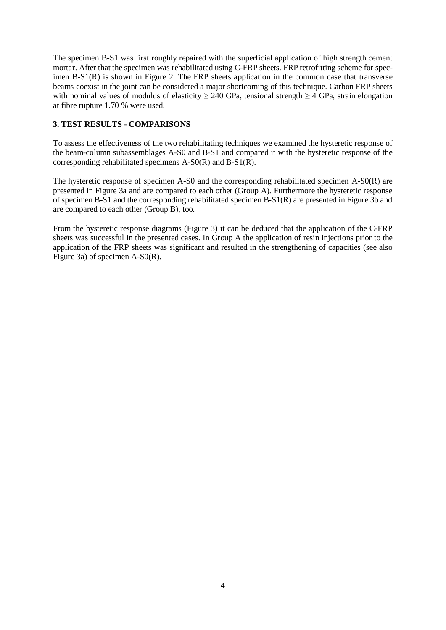The specimen B-S1 was first roughly repaired with the superficial application of high strength cement mortar. After that the specimen was rehabilitated using C-FRP sheets. FRP retrofitting scheme for specimen B-S1(R) is shown in Figure 2. The FRP sheets application in the common case that transverse beams coexist in the joint can be considered a major shortcoming of this technique. Carbon FRP sheets with nominal values of modulus of elasticity  $\geq 240$  GPa, tensional strength  $\geq 4$  GPa, strain elongation at fibre rupture 1.70 % were used.

### **3. TEST RESULTS - COMPARISONS**

To assess the effectiveness of the two rehabilitating techniques we examined the hysteretic response of the beam-column subassemblages A-S0 and B-S1 and compared it with the hysteretic response of the corresponding rehabilitated specimens A-S0(R) and B-S1(R).

The hysteretic response of specimen A-S0 and the corresponding rehabilitated specimen A-S0(R) are presented in Figure 3a and are compared to each other (Group A). Furthermore the hysteretic response of specimen B-S1 and the corresponding rehabilitated specimen B-S1(R) are presented in Figure 3b and are compared to each other (Group B), too.

From the hysteretic response diagrams (Figure 3) it can be deduced that the application of the C-FRP sheets was successful in the presented cases. In Group A the application of resin injections prior to the application of the FRP sheets was significant and resulted in the strengthening of capacities (see also Figure 3a) of specimen A-S0(R).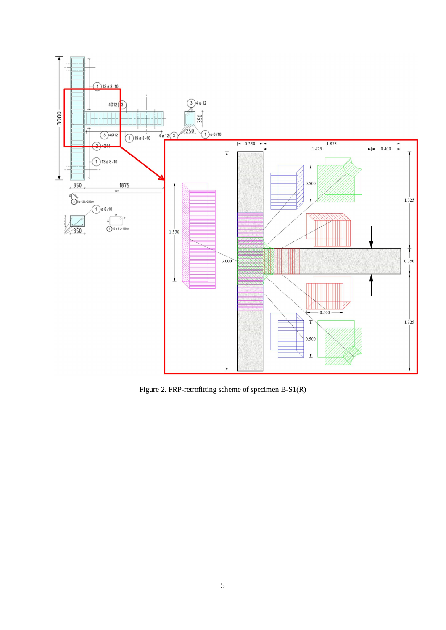

Figure 2. FRP-retrofitting scheme of specimen B-S1(R)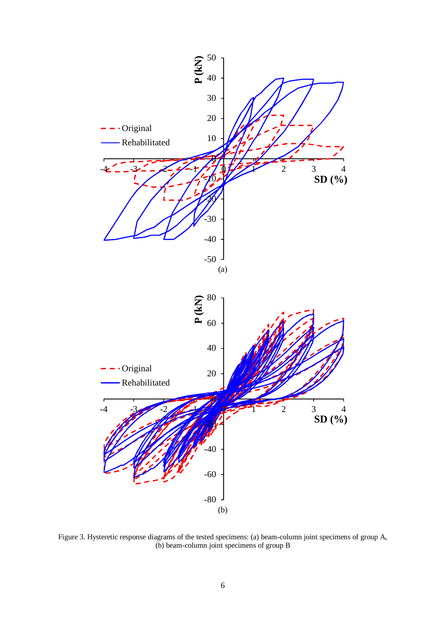

Figure 3. Hysteretic response diagrams of the tested specimens: (a) beam-column joint specimens of group A, (b) beam-column joint specimens of group  $\overline{B}$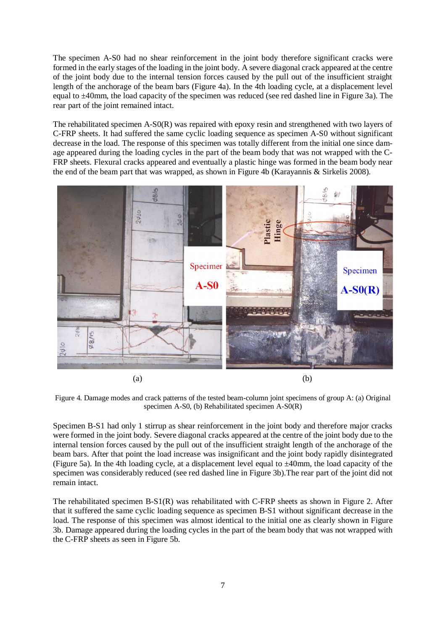The specimen A-S0 had no shear reinforcement in the joint body therefore significant cracks were formed in the early stages of the loading in the joint body. A severe diagonal crack appeared at the centre of the joint body due to the internal tension forces caused by the pull out of the insufficient straight length of the anchorage of the beam bars (Figure 4a). In the 4th loading cycle, at a displacement level equal to ±40mm, the load capacity of the specimen was reduced (see red dashed line in Figure 3a). The rear part of the joint remained intact.

The rehabilitated specimen A-S0(R) was repaired with epoxy resin and strengthened with two layers of C-FRP sheets. It had suffered the same cyclic loading sequence as specimen A-S0 without significant decrease in the load. The response of this specimen was totally different from the initial one since damage appeared during the loading cycles in the part of the beam body that was not wrapped with the C-FRP sheets. Flexural cracks appeared and eventually a plastic hinge was formed in the beam body near the end of the beam part that was wrapped, as shown in Figure 4b (Karayannis & Sirkelis 2008).



Figure 4. Damage modes and crack patterns of the tested beam-column joint specimens of group A: (a) Original specimen A-S0, (b) Rehabilitated specimen A-S0(R)

Specimen B-S1 had only 1 stirrup as shear reinforcement in the joint body and therefore major cracks were formed in the joint body. Severe diagonal cracks appeared at the centre of the joint body due to the internal tension forces caused by the pull out of the insufficient straight length of the anchorage of the beam bars. After that point the load increase was insignificant and the joint body rapidly disintegrated (Figure 5a). In the 4th loading cycle, at a displacement level equal to  $\pm 40$ mm, the load capacity of the specimen was considerably reduced (see red dashed line in Figure 3b).The rear part of the joint did not remain intact.

The rehabilitated specimen B-S1(R) was rehabilitated with C-FRP sheets as shown in Figure 2. After that it suffered the same cyclic loading sequence as specimen B-S1 without significant decrease in the load. The response of this specimen was almost identical to the initial one as clearly shown in Figure 3b. Damage appeared during the loading cycles in the part of the beam body that was not wrapped with the C-FRP sheets as seen in Figure 5b.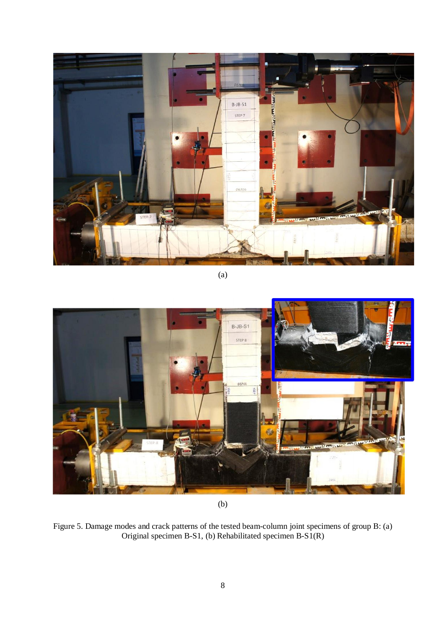

(a)



(b)

Figure 5. Damage modes and crack patterns of the tested beam-column joint specimens of group B: (a) Original specimen B-S1, (b) Rehabilitated specimen B-S1(R)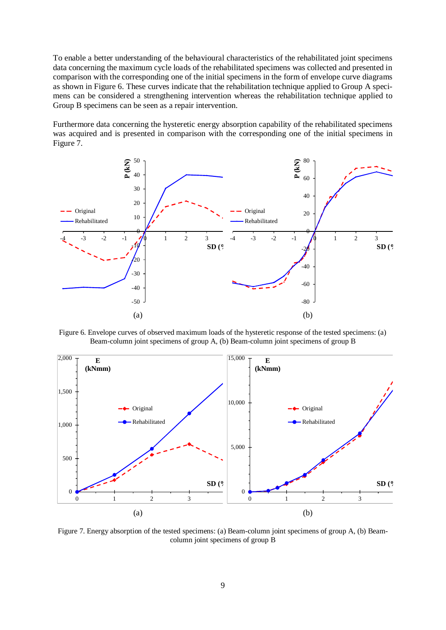To enable a better understanding of the behavioural characteristics of the rehabilitated joint specimens data concerning the maximum cycle loads of the rehabilitated specimens was collected and presented in comparison with the corresponding one of the initial specimens in the form of envelope curve diagrams as shown in Figure 6. These curves indicate that the rehabilitation technique applied to Group A specimens can be considered a strengthening intervention whereas the rehabilitation technique applied to Group B specimens can be seen as a repair intervention.

Furthermore data concerning the hysteretic energy absorption capability of the rehabilitated specimens was acquired and is presented in comparison with the corresponding one of the initial specimens in Figure 7.



Figure 6. Envelope curves of observed maximum loads of the hysteretic response of the tested specimens: (a) Beam-column joint specimens of group A, (b) Beam-column joint specimens of group B



Figure 7. Energy absorption of the tested specimens: (a) Beam-column joint specimens of group A, (b) Beamcolumn joint specimens of group B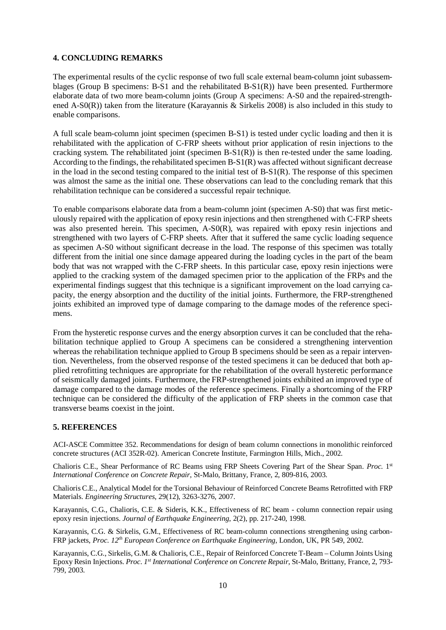### **4. CONCLUDING REMARKS**

The experimental results of the cyclic response of two full scale external beam-column joint subassemblages (Group B specimens:  $B-S1$  and the rehabilitated  $B-S1(R)$ ) have been presented. Furthermore elaborate data of two more beam-column joints (Group A specimens: A-S0 and the repaired-strengthened A-S0(R)) taken from the literature (Karayannis & Sirkelis 2008) is also included in this study to enable comparisons.

A full scale beam-column joint specimen (specimen B-S1) is tested under cyclic loading and then it is rehabilitated with the application of C-FRP sheets without prior application of resin injections to the cracking system. The rehabilitated joint (specimen  $B-S1(R)$ ) is then re-tested under the same loading. According to the findings, the rehabilitated specimen  $B-S1(R)$  was affected without significant decrease in the load in the second testing compared to the initial test of B-S1(R). The response of this specimen was almost the same as the initial one. These observations can lead to the concluding remark that this rehabilitation technique can be considered a successful repair technique.

To enable comparisons elaborate data from a beam-column joint (specimen A-S0) that was first meticulously repaired with the application of epoxy resin injections and then strengthened with C-FRP sheets was also presented herein. This specimen, A-S0(R), was repaired with epoxy resin injections and strengthened with two layers of C-FRP sheets. After that it suffered the same cyclic loading sequence as specimen A-S0 without significant decrease in the load. The response of this specimen was totally different from the initial one since damage appeared during the loading cycles in the part of the beam body that was not wrapped with the C-FRP sheets. In this particular case, epoxy resin injections were applied to the cracking system of the damaged specimen prior to the application of the FRPs and the experimental findings suggest that this technique is a significant improvement on the load carrying capacity, the energy absorption and the ductility of the initial joints. Furthermore, the FRP-strengthened joints exhibited an improved type of damage comparing to the damage modes of the reference specimens.

From the hysteretic response curves and the energy absorption curves it can be concluded that the rehabilitation technique applied to Group A specimens can be considered a strengthening intervention whereas the rehabilitation technique applied to Group B specimens should be seen as a repair intervention. Nevertheless, from the observed response of the tested specimens it can be deduced that both applied retrofitting techniques are appropriate for the rehabilitation of the overall hysteretic performance of seismically damaged joints. Furthermore, the FRP-strengthened joints exhibited an improved type of damage compared to the damage modes of the reference specimens. Finally a shortcoming of the FRP technique can be considered the difficulty of the application of FRP sheets in the common case that transverse beams coexist in the joint.

#### **5. REFERENCES**

ACI-ASCE Committee 352. Recommendations for design of beam column connections in monolithic reinforced concrete structures (ACI 352R-02). American Concrete Institute, Farmington Hills, Mich., 2002.

Chalioris C.E., Shear Performance of RC Beams using FRP Sheets Covering Part of the Shear Span. *Proc.* 1 st *International Conference on Concrete Repair*, St-Malo, Brittany, France, 2, 809-816, 2003.

Chalioris C.E., Analytical Model for the Torsional Behaviour of Reinforced Concrete Beams Retrofitted with FRP Materials. *Engineering Structures*, 29(12), 3263-3276, 2007.

Karayannis, C.G., Chalioris, C.E. & Sideris, K.K., Effectiveness of RC beam - column connection repair using epoxy resin injections. *Journal of Earthquake Engineering*, 2(2), pp. 217-240, 1998.

Karayannis, C.G. & Sirkelis, G.M., Effectiveness of RC beam-column connections strengthening using carbon-FRP jackets, *Proc. 12th European Conference on Earthquake Engineering*, London, UK, PR 549, 2002.

Karayannis, C.G., Sirkelis, G.M. & Chalioris, C.E., Repair of Reinforced Concrete T-Beam – Column Joints Using Epoxy Resin Injections. *Proc. 1st International Conference on Concrete Repair*, St-Malo, Brittany, France, 2, 793- 799, 2003.